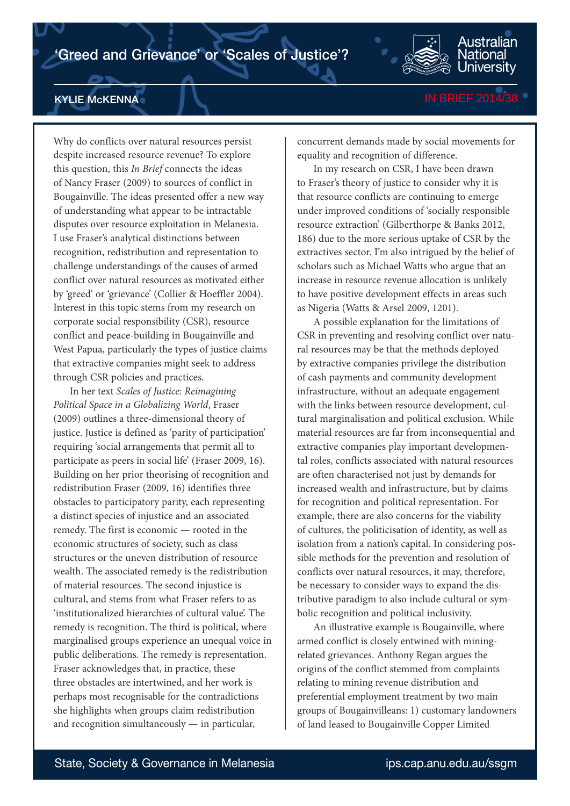

KYLIE McKENNA

Why do conflicts over natural resources persist despite increased resource revenue? To explore this question, this *In Brief* connects the ideas of Nancy Fraser (2009) to sources of conflict in Bougainville. The ideas presented offer a new way of understanding what appear to be intractable disputes over resource exploitation in Melanesia. I use Fraser's analytical distinctions between recognition, redistribution and representation to challenge understandings of the causes of armed conflict over natural resources as motivated either by 'greed' or 'grievance' (Collier & Hoeffler 2004). Interest in this topic stems from my research on corporate social responsibility (CSR), resource conflict and peace-building in Bougainville and West Papua, particularly the types of justice claims that extractive companies might seek to address through CSR policies and practices.

In her text *Scales of Justice: Reimagining Political Space in a Globalizing World*, Fraser (2009) outlines a three-dimensional theory of justice. Justice is defined as 'parity of participation' requiring 'social arrangements that permit all to participate as peers in social life' (Fraser 2009, 16). Building on her prior theorising of recognition and redistribution Fraser (2009, 16) identifies three obstacles to participatory parity, each representing a distinct species of injustice and an associated remedy. The first is economic — rooted in the economic structures of society, such as class structures or the uneven distribution of resource wealth. The associated remedy is the redistribution of material resources. The second injustice is cultural, and stems from what Fraser refers to as 'institutionalized hierarchies of cultural value'. The remedy is recognition. The third is political, where marginalised groups experience an unequal voice in public deliberations. The remedy is representation. Fraser acknowledges that, in practice, these three obstacles are intertwined, and her work is perhaps most recognisable for the contradictions she highlights when groups claim redistribution and recognition simultaneously — in particular,

concurrent demands made by social movements for equality and recognition of difference.

In my research on CSR, I have been drawn to Fraser's theory of justice to consider why it is that resource conflicts are continuing to emerge under improved conditions of 'socially responsible resource extraction' (Gilberthorpe & Banks 2012, 186) due to the more serious uptake of CSR by the extractives sector. I'm also intrigued by the belief of scholars such as Michael Watts who argue that an increase in resource revenue allocation is unlikely to have positive development effects in areas such as Nigeria (Watts & Arsel 2009, 1201).

A possible explanation for the limitations of CSR in preventing and resolving conflict over natural resources may be that the methods deployed by extractive companies privilege the distribution of cash payments and community development infrastructure, without an adequate engagement with the links between resource development, cultural marginalisation and political exclusion. While material resources are far from inconsequential and extractive companies play important developmental roles, conflicts associated with natural resources are often characterised not just by demands for increased wealth and infrastructure, but by claims for recognition and political representation. For example, there are also concerns for the viability of cultures, the politicisation of identity, as well as isolation from a nation's capital. In considering possible methods for the prevention and resolution of conflicts over natural resources, it may, therefore, be necessary to consider ways to expand the distributive paradigm to also include cultural or symbolic recognition and political inclusivity.

An illustrative example is Bougainville, where armed conflict is closely entwined with miningrelated grievances. Anthony Regan argues the origins of the conflict stemmed from complaints relating to mining revenue distribution and preferential employment treatment by two main groups of Bougainvilleans: 1) customary landowners of land leased to Bougainville Copper Limited